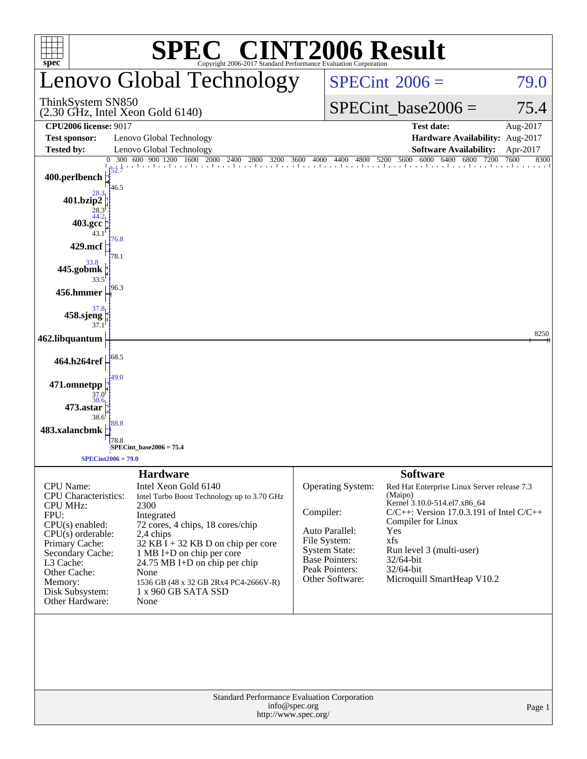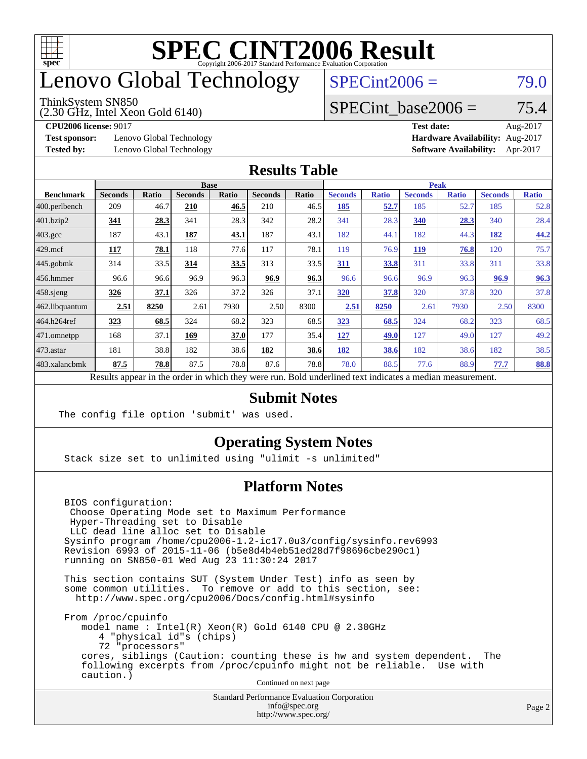

## enovo Global Technology

#### ThinkSystem SN850

(2.30 GHz, Intel Xeon Gold 6140)

 $SPECint2006 = 79.0$  $SPECint2006 = 79.0$ 

### SPECint base2006 =  $75.4$

**[Test sponsor:](http://www.spec.org/auto/cpu2006/Docs/result-fields.html#Testsponsor)** Lenovo Global Technology **[Hardware Availability:](http://www.spec.org/auto/cpu2006/Docs/result-fields.html#HardwareAvailability)** Aug-2017

**[CPU2006 license:](http://www.spec.org/auto/cpu2006/Docs/result-fields.html#CPU2006license)** 9017 **[Test date:](http://www.spec.org/auto/cpu2006/Docs/result-fields.html#Testdate)** Aug-2017 **[Tested by:](http://www.spec.org/auto/cpu2006/Docs/result-fields.html#Testedby)** Lenovo Global Technology **[Software Availability:](http://www.spec.org/auto/cpu2006/Docs/result-fields.html#SoftwareAvailability)** Apr-2017

#### **[Results Table](http://www.spec.org/auto/cpu2006/Docs/result-fields.html#ResultsTable)**

|                                                                                                          | <b>Base</b>    |              |                |              |                |       | <b>Peak</b>    |              |                |              |                |              |
|----------------------------------------------------------------------------------------------------------|----------------|--------------|----------------|--------------|----------------|-------|----------------|--------------|----------------|--------------|----------------|--------------|
| <b>Benchmark</b>                                                                                         | <b>Seconds</b> | <b>Ratio</b> | <b>Seconds</b> | <b>Ratio</b> | <b>Seconds</b> | Ratio | <b>Seconds</b> | <b>Ratio</b> | <b>Seconds</b> | <b>Ratio</b> | <b>Seconds</b> | <b>Ratio</b> |
| 400.perlbench                                                                                            | 209            | 46.7         | 210            | 46.5         | 210            | 46.5  | 185            | <u>52.7</u>  | 185            | 52.7         | 185            | 52.8         |
| 401.bzip2                                                                                                | 341            | 28.3         | 341            | 28.3         | 342            | 28.2  | 341            | 28.3         | 340            | 28.3         | 340            | 28.4         |
| $403.\mathrm{gcc}$                                                                                       | 187            | 43.1         | <b>187</b>     | 43.1         | 187            | 43.1  | 182            | 44.1         | 182            | 44.3         | 182            | 44.2         |
| $429$ mcf                                                                                                | 117            | 78.1         | 118            | 77.6         | 117            | 78.1  | 119            | 76.9         | <u>119</u>     | 76.8         | 120            | 75.7         |
| $445$ .gobmk                                                                                             | 314            | 33.5         | 314            | 33.5         | 313            | 33.5  | 311            | 33.8         | 311            | 33.8         | 311            | 33.8         |
| $456.$ hmmer                                                                                             | 96.6           | 96.6         | 96.9           | 96.3         | 96.9           | 96.3  | 96.6           | 96.6         | 96.9           | 96.3         | 96.9           | 96.3         |
| $458$ .sjeng                                                                                             | 326            | 37.1         | 326            | 37.2         | 326            | 37.1  | 320            | 37.8         | 320            | 37.8         | 320            | 37.8         |
| 462.libquantum                                                                                           | 2.51           | 8250         | 2.61           | 7930         | 2.50           | 8300  | 2.51           | 8250         | 2.61           | 7930         | 2.50           | 8300         |
| 464.h264ref                                                                                              | 323            | 68.5         | 324            | 68.2         | 323            | 68.5  | 323            | 68.5         | 324            | 68.2         | 323            | 68.5         |
| $ 471$ .omnetpp                                                                                          | 168            | 37.1         | 169            | 37.0         | 177            | 35.4  | 127            | 49.0         | 127            | 49.0         | 127            | 49.2         |
| $473$ . astar                                                                                            | 181            | 38.8         | 182            | 38.6         | 182            | 38.6  | 182            | 38.6         | 182            | 38.6         | 182            | 38.5         |
| 483.xalancbmk                                                                                            | 87.5           | 78.8         | 87.5           | 78.8         | 87.6           | 78.8  | 78.0           | 88.5         | 77.6           | 88.9         | 77.7           | <b>88.8</b>  |
| Results appear in the order in which they were run. Bold underlined text indicates a median measurement. |                |              |                |              |                |       |                |              |                |              |                |              |

#### **[Submit Notes](http://www.spec.org/auto/cpu2006/Docs/result-fields.html#SubmitNotes)**

The config file option 'submit' was used.

### **[Operating System Notes](http://www.spec.org/auto/cpu2006/Docs/result-fields.html#OperatingSystemNotes)**

Stack size set to unlimited using "ulimit -s unlimited"

### **[Platform Notes](http://www.spec.org/auto/cpu2006/Docs/result-fields.html#PlatformNotes)**

 BIOS configuration: Choose Operating Mode set to Maximum Performance Hyper-Threading set to Disable LLC dead line alloc set to Disable Sysinfo program /home/cpu2006-1.2-ic17.0u3/config/sysinfo.rev6993 Revision 6993 of 2015-11-06 (b5e8d4b4eb51ed28d7f98696cbe290c1) running on SN850-01 Wed Aug 23 11:30:24 2017

 This section contains SUT (System Under Test) info as seen by some common utilities. To remove or add to this section, see: <http://www.spec.org/cpu2006/Docs/config.html#sysinfo>

 From /proc/cpuinfo model name : Intel(R) Xeon(R) Gold 6140 CPU @ 2.30GHz 4 "physical id"s (chips) 72 "processors" cores, siblings (Caution: counting these is hw and system dependent. The following excerpts from /proc/cpuinfo might not be reliable. Use with caution.)

Continued on next page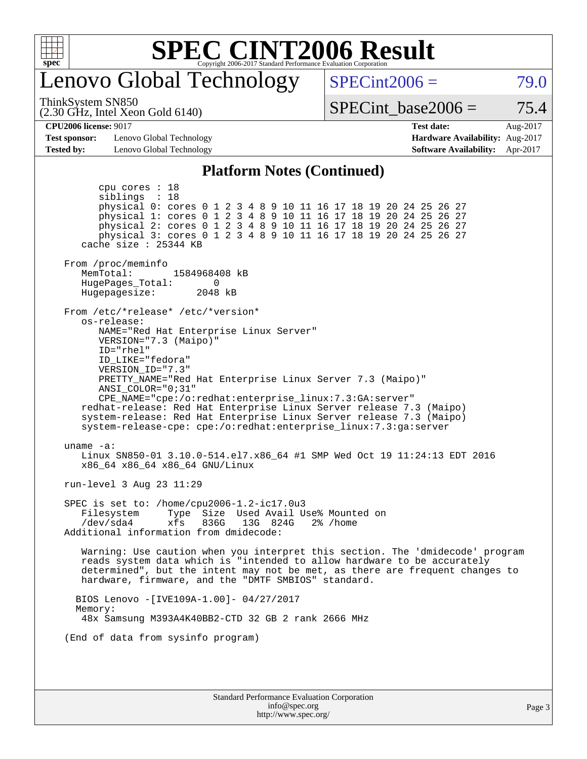

### enovo Global Technology

ThinkSystem SN850

(2.30 GHz, Intel Xeon Gold 6140)

 $SPECint2006 = 79.0$  $SPECint2006 = 79.0$ 

SPECint base2006 =  $75.4$ 

**[CPU2006 license:](http://www.spec.org/auto/cpu2006/Docs/result-fields.html#CPU2006license)** 9017 **[Test date:](http://www.spec.org/auto/cpu2006/Docs/result-fields.html#Testdate)** Aug-2017

**[Test sponsor:](http://www.spec.org/auto/cpu2006/Docs/result-fields.html#Testsponsor)** Lenovo Global Technology **[Hardware Availability:](http://www.spec.org/auto/cpu2006/Docs/result-fields.html#HardwareAvailability)** Aug-2017 **[Tested by:](http://www.spec.org/auto/cpu2006/Docs/result-fields.html#Testedby)** Lenovo Global Technology **[Software Availability:](http://www.spec.org/auto/cpu2006/Docs/result-fields.html#SoftwareAvailability)** Apr-2017

### **[Platform Notes \(Continued\)](http://www.spec.org/auto/cpu2006/Docs/result-fields.html#PlatformNotes)**

Standard Performance Evaluation Corporation [info@spec.org](mailto:info@spec.org) <http://www.spec.org/> Page 3 cpu cores : 18 siblings : 18 physical 0: cores 0 1 2 3 4 8 9 10 11 16 17 18 19 20 24 25 26 27 physical 1: cores 0 1 2 3 4 8 9 10 11 16 17 18 19 20 24 25 26 27 physical 2: cores 0 1 2 3 4 8 9 10 11 16 17 18 19 20 24 25 26 27 physical 3: cores 0 1 2 3 4 8 9 10 11 16 17 18 19 20 24 25 26 27 cache size : 25344 KB From /proc/meminfo MemTotal: 1584968408 kB<br>HugePages Total: 0 HugePages\_Total: 0 Hugepagesize: 2048 kB From /etc/\*release\* /etc/\*version\* os-release: NAME="Red Hat Enterprise Linux Server" VERSION="7.3 (Maipo)" ID="rhel" ID\_LIKE="fedora" VERSION\_ID="7.3" PRETTY\_NAME="Red Hat Enterprise Linux Server 7.3 (Maipo)" ANSI\_COLOR="0;31" CPE\_NAME="cpe:/o:redhat:enterprise\_linux:7.3:GA:server" redhat-release: Red Hat Enterprise Linux Server release 7.3 (Maipo) system-release: Red Hat Enterprise Linux Server release 7.3 (Maipo) system-release-cpe: cpe:/o:redhat:enterprise\_linux:7.3:ga:server uname -a: Linux SN850-01 3.10.0-514.el7.x86\_64 #1 SMP Wed Oct 19 11:24:13 EDT 2016 x86\_64 x86\_64 x86\_64 GNU/Linux run-level 3 Aug 23 11:29 SPEC is set to: /home/cpu2006-1.2-ic17.0u3 Filesystem Type Size Used Avail Use% Mounted on /dev/sda4 xfs 836G 13G 824G 2% /home Additional information from dmidecode: Warning: Use caution when you interpret this section. The 'dmidecode' program reads system data which is "intended to allow hardware to be accurately determined", but the intent may not be met, as there are frequent changes to hardware, firmware, and the "DMTF SMBIOS" standard. BIOS Lenovo -[IVE109A-1.00]- 04/27/2017 Memory: 48x Samsung M393A4K40BB2-CTD 32 GB 2 rank 2666 MHz (End of data from sysinfo program)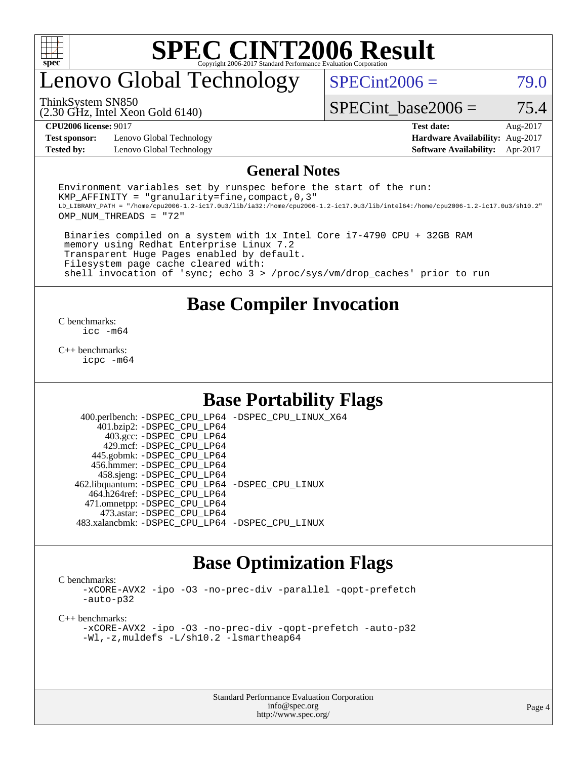

### enovo Global Technology

 $SPECint2006 = 79.0$  $SPECint2006 = 79.0$ 

(2.30 GHz, Intel Xeon Gold 6140) ThinkSystem SN850

SPECint base2006 =  $75.4$ 

**[Test sponsor:](http://www.spec.org/auto/cpu2006/Docs/result-fields.html#Testsponsor)** Lenovo Global Technology **[Hardware Availability:](http://www.spec.org/auto/cpu2006/Docs/result-fields.html#HardwareAvailability)** Aug-2017 **[Tested by:](http://www.spec.org/auto/cpu2006/Docs/result-fields.html#Testedby)** Lenovo Global Technology **[Software Availability:](http://www.spec.org/auto/cpu2006/Docs/result-fields.html#SoftwareAvailability)** Apr-2017

**[CPU2006 license:](http://www.spec.org/auto/cpu2006/Docs/result-fields.html#CPU2006license)** 9017 **[Test date:](http://www.spec.org/auto/cpu2006/Docs/result-fields.html#Testdate)** Aug-2017

#### **[General Notes](http://www.spec.org/auto/cpu2006/Docs/result-fields.html#GeneralNotes)**

Environment variables set by runspec before the start of the run: KMP AFFINITY = "granularity=fine, compact,  $0,3$ " LD\_LIBRARY\_PATH = "/home/cpu2006-1.2-ic17.0u3/lib/ia32:/home/cpu2006-1.2-ic17.0u3/lib/intel64:/home/cpu2006-1.2-ic17.0u3/sh10.2" OMP\_NUM\_THREADS = "72"

 Binaries compiled on a system with 1x Intel Core i7-4790 CPU + 32GB RAM memory using Redhat Enterprise Linux 7.2 Transparent Huge Pages enabled by default. Filesystem page cache cleared with: shell invocation of 'sync; echo 3 > /proc/sys/vm/drop\_caches' prior to run

### **[Base Compiler Invocation](http://www.spec.org/auto/cpu2006/Docs/result-fields.html#BaseCompilerInvocation)**

[C benchmarks](http://www.spec.org/auto/cpu2006/Docs/result-fields.html#Cbenchmarks): [icc -m64](http://www.spec.org/cpu2006/results/res2017q4/cpu2006-20170918-50024.flags.html#user_CCbase_intel_icc_64bit_bda6cc9af1fdbb0edc3795bac97ada53)

[C++ benchmarks:](http://www.spec.org/auto/cpu2006/Docs/result-fields.html#CXXbenchmarks) [icpc -m64](http://www.spec.org/cpu2006/results/res2017q4/cpu2006-20170918-50024.flags.html#user_CXXbase_intel_icpc_64bit_fc66a5337ce925472a5c54ad6a0de310)

### **[Base Portability Flags](http://www.spec.org/auto/cpu2006/Docs/result-fields.html#BasePortabilityFlags)**

 400.perlbench: [-DSPEC\\_CPU\\_LP64](http://www.spec.org/cpu2006/results/res2017q4/cpu2006-20170918-50024.flags.html#b400.perlbench_basePORTABILITY_DSPEC_CPU_LP64) [-DSPEC\\_CPU\\_LINUX\\_X64](http://www.spec.org/cpu2006/results/res2017q4/cpu2006-20170918-50024.flags.html#b400.perlbench_baseCPORTABILITY_DSPEC_CPU_LINUX_X64) 401.bzip2: [-DSPEC\\_CPU\\_LP64](http://www.spec.org/cpu2006/results/res2017q4/cpu2006-20170918-50024.flags.html#suite_basePORTABILITY401_bzip2_DSPEC_CPU_LP64) 403.gcc: [-DSPEC\\_CPU\\_LP64](http://www.spec.org/cpu2006/results/res2017q4/cpu2006-20170918-50024.flags.html#suite_basePORTABILITY403_gcc_DSPEC_CPU_LP64) 429.mcf: [-DSPEC\\_CPU\\_LP64](http://www.spec.org/cpu2006/results/res2017q4/cpu2006-20170918-50024.flags.html#suite_basePORTABILITY429_mcf_DSPEC_CPU_LP64) 445.gobmk: [-DSPEC\\_CPU\\_LP64](http://www.spec.org/cpu2006/results/res2017q4/cpu2006-20170918-50024.flags.html#suite_basePORTABILITY445_gobmk_DSPEC_CPU_LP64) 456.hmmer: [-DSPEC\\_CPU\\_LP64](http://www.spec.org/cpu2006/results/res2017q4/cpu2006-20170918-50024.flags.html#suite_basePORTABILITY456_hmmer_DSPEC_CPU_LP64) 458.sjeng: [-DSPEC\\_CPU\\_LP64](http://www.spec.org/cpu2006/results/res2017q4/cpu2006-20170918-50024.flags.html#suite_basePORTABILITY458_sjeng_DSPEC_CPU_LP64) 462.libquantum: [-DSPEC\\_CPU\\_LP64](http://www.spec.org/cpu2006/results/res2017q4/cpu2006-20170918-50024.flags.html#suite_basePORTABILITY462_libquantum_DSPEC_CPU_LP64) [-DSPEC\\_CPU\\_LINUX](http://www.spec.org/cpu2006/results/res2017q4/cpu2006-20170918-50024.flags.html#b462.libquantum_baseCPORTABILITY_DSPEC_CPU_LINUX) 464.h264ref: [-DSPEC\\_CPU\\_LP64](http://www.spec.org/cpu2006/results/res2017q4/cpu2006-20170918-50024.flags.html#suite_basePORTABILITY464_h264ref_DSPEC_CPU_LP64) 471.omnetpp: [-DSPEC\\_CPU\\_LP64](http://www.spec.org/cpu2006/results/res2017q4/cpu2006-20170918-50024.flags.html#suite_basePORTABILITY471_omnetpp_DSPEC_CPU_LP64) 473.astar: [-DSPEC\\_CPU\\_LP64](http://www.spec.org/cpu2006/results/res2017q4/cpu2006-20170918-50024.flags.html#suite_basePORTABILITY473_astar_DSPEC_CPU_LP64) 483.xalancbmk: [-DSPEC\\_CPU\\_LP64](http://www.spec.org/cpu2006/results/res2017q4/cpu2006-20170918-50024.flags.html#suite_basePORTABILITY483_xalancbmk_DSPEC_CPU_LP64) [-DSPEC\\_CPU\\_LINUX](http://www.spec.org/cpu2006/results/res2017q4/cpu2006-20170918-50024.flags.html#b483.xalancbmk_baseCXXPORTABILITY_DSPEC_CPU_LINUX)

### **[Base Optimization Flags](http://www.spec.org/auto/cpu2006/Docs/result-fields.html#BaseOptimizationFlags)**

[C benchmarks](http://www.spec.org/auto/cpu2006/Docs/result-fields.html#Cbenchmarks):

[-xCORE-AVX2](http://www.spec.org/cpu2006/results/res2017q4/cpu2006-20170918-50024.flags.html#user_CCbase_f-xCORE-AVX2) [-ipo](http://www.spec.org/cpu2006/results/res2017q4/cpu2006-20170918-50024.flags.html#user_CCbase_f-ipo) [-O3](http://www.spec.org/cpu2006/results/res2017q4/cpu2006-20170918-50024.flags.html#user_CCbase_f-O3) [-no-prec-div](http://www.spec.org/cpu2006/results/res2017q4/cpu2006-20170918-50024.flags.html#user_CCbase_f-no-prec-div) [-parallel](http://www.spec.org/cpu2006/results/res2017q4/cpu2006-20170918-50024.flags.html#user_CCbase_f-parallel) [-qopt-prefetch](http://www.spec.org/cpu2006/results/res2017q4/cpu2006-20170918-50024.flags.html#user_CCbase_f-qopt-prefetch) [-auto-p32](http://www.spec.org/cpu2006/results/res2017q4/cpu2006-20170918-50024.flags.html#user_CCbase_f-auto-p32)

[C++ benchmarks:](http://www.spec.org/auto/cpu2006/Docs/result-fields.html#CXXbenchmarks)

[-xCORE-AVX2](http://www.spec.org/cpu2006/results/res2017q4/cpu2006-20170918-50024.flags.html#user_CXXbase_f-xCORE-AVX2) [-ipo](http://www.spec.org/cpu2006/results/res2017q4/cpu2006-20170918-50024.flags.html#user_CXXbase_f-ipo) [-O3](http://www.spec.org/cpu2006/results/res2017q4/cpu2006-20170918-50024.flags.html#user_CXXbase_f-O3) [-no-prec-div](http://www.spec.org/cpu2006/results/res2017q4/cpu2006-20170918-50024.flags.html#user_CXXbase_f-no-prec-div) [-qopt-prefetch](http://www.spec.org/cpu2006/results/res2017q4/cpu2006-20170918-50024.flags.html#user_CXXbase_f-qopt-prefetch) [-auto-p32](http://www.spec.org/cpu2006/results/res2017q4/cpu2006-20170918-50024.flags.html#user_CXXbase_f-auto-p32) [-Wl,-z,muldefs](http://www.spec.org/cpu2006/results/res2017q4/cpu2006-20170918-50024.flags.html#user_CXXbase_link_force_multiple1_74079c344b956b9658436fd1b6dd3a8a) [-L/sh10.2 -lsmartheap64](http://www.spec.org/cpu2006/results/res2017q4/cpu2006-20170918-50024.flags.html#user_CXXbase_SmartHeap64_63911d860fc08c15fa1d5bf319b9d8d5)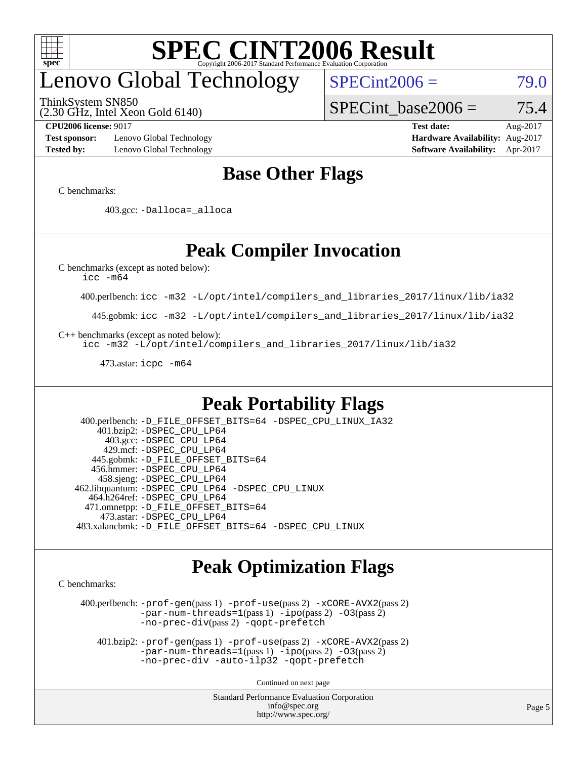

## enovo Global Technology

ThinkSystem SN850

(2.30 GHz, Intel Xeon Gold 6140)

 $SPECint2006 = 79.0$  $SPECint2006 = 79.0$ 

SPECint base2006 =  $75.4$ 

**[Test sponsor:](http://www.spec.org/auto/cpu2006/Docs/result-fields.html#Testsponsor)** Lenovo Global Technology **[Hardware Availability:](http://www.spec.org/auto/cpu2006/Docs/result-fields.html#HardwareAvailability)** Aug-2017 **[Tested by:](http://www.spec.org/auto/cpu2006/Docs/result-fields.html#Testedby)** Lenovo Global Technology **[Software Availability:](http://www.spec.org/auto/cpu2006/Docs/result-fields.html#SoftwareAvailability)** Apr-2017

**[CPU2006 license:](http://www.spec.org/auto/cpu2006/Docs/result-fields.html#CPU2006license)** 9017 **[Test date:](http://www.spec.org/auto/cpu2006/Docs/result-fields.html#Testdate)** Aug-2017

### **[Base Other Flags](http://www.spec.org/auto/cpu2006/Docs/result-fields.html#BaseOtherFlags)**

[C benchmarks](http://www.spec.org/auto/cpu2006/Docs/result-fields.html#Cbenchmarks):

403.gcc: [-Dalloca=\\_alloca](http://www.spec.org/cpu2006/results/res2017q4/cpu2006-20170918-50024.flags.html#b403.gcc_baseEXTRA_CFLAGS_Dalloca_be3056838c12de2578596ca5467af7f3)

### **[Peak Compiler Invocation](http://www.spec.org/auto/cpu2006/Docs/result-fields.html#PeakCompilerInvocation)**

[C benchmarks \(except as noted below\)](http://www.spec.org/auto/cpu2006/Docs/result-fields.html#Cbenchmarksexceptasnotedbelow):

[icc -m64](http://www.spec.org/cpu2006/results/res2017q4/cpu2006-20170918-50024.flags.html#user_CCpeak_intel_icc_64bit_bda6cc9af1fdbb0edc3795bac97ada53)

400.perlbench: [icc -m32 -L/opt/intel/compilers\\_and\\_libraries\\_2017/linux/lib/ia32](http://www.spec.org/cpu2006/results/res2017q4/cpu2006-20170918-50024.flags.html#user_peakCCLD400_perlbench_intel_icc_c29f3ff5a7ed067b11e4ec10a03f03ae)

445.gobmk: [icc -m32 -L/opt/intel/compilers\\_and\\_libraries\\_2017/linux/lib/ia32](http://www.spec.org/cpu2006/results/res2017q4/cpu2006-20170918-50024.flags.html#user_peakCCLD445_gobmk_intel_icc_c29f3ff5a7ed067b11e4ec10a03f03ae)

[C++ benchmarks \(except as noted below\):](http://www.spec.org/auto/cpu2006/Docs/result-fields.html#CXXbenchmarksexceptasnotedbelow)

[icc -m32 -L/opt/intel/compilers\\_and\\_libraries\\_2017/linux/lib/ia32](http://www.spec.org/cpu2006/results/res2017q4/cpu2006-20170918-50024.flags.html#user_CXXpeak_intel_icc_c29f3ff5a7ed067b11e4ec10a03f03ae)

473.astar: [icpc -m64](http://www.spec.org/cpu2006/results/res2017q4/cpu2006-20170918-50024.flags.html#user_peakCXXLD473_astar_intel_icpc_64bit_fc66a5337ce925472a5c54ad6a0de310)

### **[Peak Portability Flags](http://www.spec.org/auto/cpu2006/Docs/result-fields.html#PeakPortabilityFlags)**

 400.perlbench: [-D\\_FILE\\_OFFSET\\_BITS=64](http://www.spec.org/cpu2006/results/res2017q4/cpu2006-20170918-50024.flags.html#user_peakPORTABILITY400_perlbench_file_offset_bits_64_438cf9856305ebd76870a2c6dc2689ab) [-DSPEC\\_CPU\\_LINUX\\_IA32](http://www.spec.org/cpu2006/results/res2017q4/cpu2006-20170918-50024.flags.html#b400.perlbench_peakCPORTABILITY_DSPEC_CPU_LINUX_IA32) 401.bzip2: [-DSPEC\\_CPU\\_LP64](http://www.spec.org/cpu2006/results/res2017q4/cpu2006-20170918-50024.flags.html#suite_peakPORTABILITY401_bzip2_DSPEC_CPU_LP64) 403.gcc: [-DSPEC\\_CPU\\_LP64](http://www.spec.org/cpu2006/results/res2017q4/cpu2006-20170918-50024.flags.html#suite_peakPORTABILITY403_gcc_DSPEC_CPU_LP64) 429.mcf: [-DSPEC\\_CPU\\_LP64](http://www.spec.org/cpu2006/results/res2017q4/cpu2006-20170918-50024.flags.html#suite_peakPORTABILITY429_mcf_DSPEC_CPU_LP64) 445.gobmk: [-D\\_FILE\\_OFFSET\\_BITS=64](http://www.spec.org/cpu2006/results/res2017q4/cpu2006-20170918-50024.flags.html#user_peakPORTABILITY445_gobmk_file_offset_bits_64_438cf9856305ebd76870a2c6dc2689ab) 456.hmmer: [-DSPEC\\_CPU\\_LP64](http://www.spec.org/cpu2006/results/res2017q4/cpu2006-20170918-50024.flags.html#suite_peakPORTABILITY456_hmmer_DSPEC_CPU_LP64) 458.sjeng: [-DSPEC\\_CPU\\_LP64](http://www.spec.org/cpu2006/results/res2017q4/cpu2006-20170918-50024.flags.html#suite_peakPORTABILITY458_sjeng_DSPEC_CPU_LP64) 462.libquantum: [-DSPEC\\_CPU\\_LP64](http://www.spec.org/cpu2006/results/res2017q4/cpu2006-20170918-50024.flags.html#suite_peakPORTABILITY462_libquantum_DSPEC_CPU_LP64) [-DSPEC\\_CPU\\_LINUX](http://www.spec.org/cpu2006/results/res2017q4/cpu2006-20170918-50024.flags.html#b462.libquantum_peakCPORTABILITY_DSPEC_CPU_LINUX) 464.h264ref: [-DSPEC\\_CPU\\_LP64](http://www.spec.org/cpu2006/results/res2017q4/cpu2006-20170918-50024.flags.html#suite_peakPORTABILITY464_h264ref_DSPEC_CPU_LP64) 471.omnetpp: [-D\\_FILE\\_OFFSET\\_BITS=64](http://www.spec.org/cpu2006/results/res2017q4/cpu2006-20170918-50024.flags.html#user_peakPORTABILITY471_omnetpp_file_offset_bits_64_438cf9856305ebd76870a2c6dc2689ab) 473.astar: [-DSPEC\\_CPU\\_LP64](http://www.spec.org/cpu2006/results/res2017q4/cpu2006-20170918-50024.flags.html#suite_peakPORTABILITY473_astar_DSPEC_CPU_LP64) 483.xalancbmk: [-D\\_FILE\\_OFFSET\\_BITS=64](http://www.spec.org/cpu2006/results/res2017q4/cpu2006-20170918-50024.flags.html#user_peakPORTABILITY483_xalancbmk_file_offset_bits_64_438cf9856305ebd76870a2c6dc2689ab) [-DSPEC\\_CPU\\_LINUX](http://www.spec.org/cpu2006/results/res2017q4/cpu2006-20170918-50024.flags.html#b483.xalancbmk_peakCXXPORTABILITY_DSPEC_CPU_LINUX)

### **[Peak Optimization Flags](http://www.spec.org/auto/cpu2006/Docs/result-fields.html#PeakOptimizationFlags)**

[C benchmarks](http://www.spec.org/auto/cpu2006/Docs/result-fields.html#Cbenchmarks):

 400.perlbench: [-prof-gen](http://www.spec.org/cpu2006/results/res2017q4/cpu2006-20170918-50024.flags.html#user_peakPASS1_CFLAGSPASS1_LDCFLAGS400_perlbench_prof_gen_e43856698f6ca7b7e442dfd80e94a8fc)(pass 1) [-prof-use](http://www.spec.org/cpu2006/results/res2017q4/cpu2006-20170918-50024.flags.html#user_peakPASS2_CFLAGSPASS2_LDCFLAGS400_perlbench_prof_use_bccf7792157ff70d64e32fe3e1250b55)(pass 2) [-xCORE-AVX2](http://www.spec.org/cpu2006/results/res2017q4/cpu2006-20170918-50024.flags.html#user_peakPASS2_CFLAGSPASS2_LDCFLAGS400_perlbench_f-xCORE-AVX2)(pass 2) [-par-num-threads=1](http://www.spec.org/cpu2006/results/res2017q4/cpu2006-20170918-50024.flags.html#user_peakPASS1_CFLAGSPASS1_LDCFLAGS400_perlbench_par_num_threads_786a6ff141b4e9e90432e998842df6c2)(pass 1) [-ipo](http://www.spec.org/cpu2006/results/res2017q4/cpu2006-20170918-50024.flags.html#user_peakPASS2_CFLAGSPASS2_LDCFLAGS400_perlbench_f-ipo)(pass 2) [-O3](http://www.spec.org/cpu2006/results/res2017q4/cpu2006-20170918-50024.flags.html#user_peakPASS2_CFLAGSPASS2_LDCFLAGS400_perlbench_f-O3)(pass 2) [-no-prec-div](http://www.spec.org/cpu2006/results/res2017q4/cpu2006-20170918-50024.flags.html#user_peakPASS2_CFLAGSPASS2_LDCFLAGS400_perlbench_f-no-prec-div)(pass 2) [-qopt-prefetch](http://www.spec.org/cpu2006/results/res2017q4/cpu2006-20170918-50024.flags.html#user_peakCOPTIMIZE400_perlbench_f-qopt-prefetch)

 401.bzip2: [-prof-gen](http://www.spec.org/cpu2006/results/res2017q4/cpu2006-20170918-50024.flags.html#user_peakPASS1_CFLAGSPASS1_LDCFLAGS401_bzip2_prof_gen_e43856698f6ca7b7e442dfd80e94a8fc)(pass 1) [-prof-use](http://www.spec.org/cpu2006/results/res2017q4/cpu2006-20170918-50024.flags.html#user_peakPASS2_CFLAGSPASS2_LDCFLAGS401_bzip2_prof_use_bccf7792157ff70d64e32fe3e1250b55)(pass 2) [-xCORE-AVX2](http://www.spec.org/cpu2006/results/res2017q4/cpu2006-20170918-50024.flags.html#user_peakPASS2_CFLAGSPASS2_LDCFLAGS401_bzip2_f-xCORE-AVX2)(pass 2)  $-par-num-threads=1(pass 1) -ipo(pass 2) -O3(pass 2)$  $-par-num-threads=1(pass 1) -ipo(pass 2) -O3(pass 2)$  $-par-num-threads=1(pass 1) -ipo(pass 2) -O3(pass 2)$  $-par-num-threads=1(pass 1) -ipo(pass 2) -O3(pass 2)$  $-par-num-threads=1(pass 1) -ipo(pass 2) -O3(pass 2)$  $-par-num-threads=1(pass 1) -ipo(pass 2) -O3(pass 2)$ [-no-prec-div](http://www.spec.org/cpu2006/results/res2017q4/cpu2006-20170918-50024.flags.html#user_peakCOPTIMIZEPASS2_CFLAGSPASS2_LDCFLAGS401_bzip2_f-no-prec-div) [-auto-ilp32](http://www.spec.org/cpu2006/results/res2017q4/cpu2006-20170918-50024.flags.html#user_peakCOPTIMIZE401_bzip2_f-auto-ilp32) [-qopt-prefetch](http://www.spec.org/cpu2006/results/res2017q4/cpu2006-20170918-50024.flags.html#user_peakCOPTIMIZE401_bzip2_f-qopt-prefetch)

Continued on next page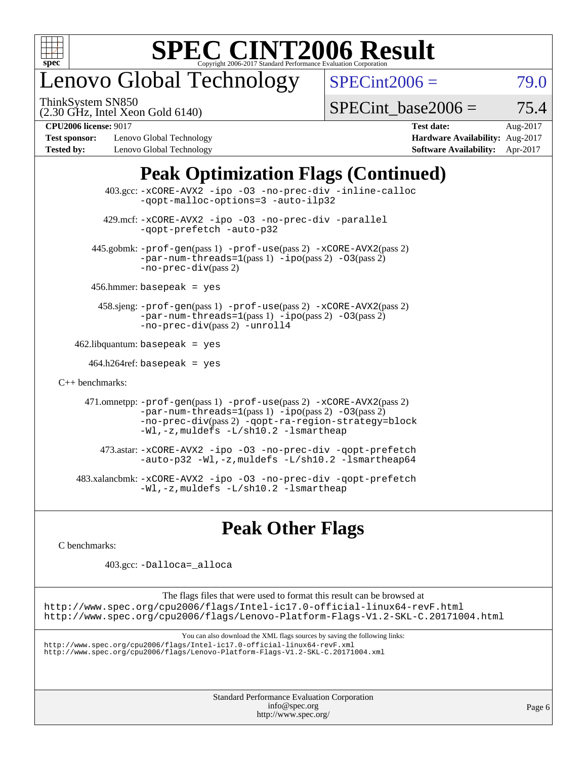

## enovo Global Technology

ThinkSystem SN850

 $SPECint2006 = 79.0$  $SPECint2006 = 79.0$ 

(2.30 GHz, Intel Xeon Gold 6140)

SPECint base2006 =  $75.4$ 

**[Test sponsor:](http://www.spec.org/auto/cpu2006/Docs/result-fields.html#Testsponsor)** Lenovo Global Technology **[Hardware Availability:](http://www.spec.org/auto/cpu2006/Docs/result-fields.html#HardwareAvailability)** Aug-2017 **[Tested by:](http://www.spec.org/auto/cpu2006/Docs/result-fields.html#Testedby)** Lenovo Global Technology **[Software Availability:](http://www.spec.org/auto/cpu2006/Docs/result-fields.html#SoftwareAvailability)** Apr-2017

**[CPU2006 license:](http://www.spec.org/auto/cpu2006/Docs/result-fields.html#CPU2006license)** 9017 **[Test date:](http://www.spec.org/auto/cpu2006/Docs/result-fields.html#Testdate)** Aug-2017

### **[Peak Optimization Flags \(Continued\)](http://www.spec.org/auto/cpu2006/Docs/result-fields.html#PeakOptimizationFlags)**

| $403.\text{sec}: -x \text{CORE-AVX2}$ -ipo -03 -no-prec-div -inline-calloc<br>-qopt-malloc-options=3 -auto-ilp32                                                                                                                          |  |
|-------------------------------------------------------------------------------------------------------------------------------------------------------------------------------------------------------------------------------------------|--|
| 429.mcf: -xCORE-AVX2 -ipo -03 -no-prec-div -parallel<br>-gopt-prefetch -auto-p32                                                                                                                                                          |  |
| 445.gobmk: -prof-gen(pass 1) -prof-use(pass 2) -xCORE-AVX2(pass 2)<br>$-par-num-threads=1(pass 1) -ipo(pass 2) -03(pass 2)$<br>$-no\text{-}prec\text{-div}(pass 2)$                                                                       |  |
| $456.$ hmmer: basepeak = yes                                                                                                                                                                                                              |  |
| 458.sjeng: -prof-gen(pass 1) -prof-use(pass 2) -xCORE-AVX2(pass 2)<br>$-par-num-threads=1(pass 1) -ipo(pass 2) -03(pass 2)$<br>-no-prec-div(pass 2) -unroll4                                                                              |  |
| $462$ .libquantum: basepeak = yes                                                                                                                                                                                                         |  |
| $464.h264$ ref: basepeak = yes                                                                                                                                                                                                            |  |
| $C_{++}$ benchmarks:                                                                                                                                                                                                                      |  |
| 471.omnetpp: -prof-gen(pass 1) -prof-use(pass 2) -xCORE-AVX2(pass 2)<br>$-par-num-threads=1(pass 1) -ipo(pass 2) -03(pass 2)$<br>-no-prec-div(pass 2) -qopt-ra-region-strategy=block<br>$-Wl$ , -z, muldefs $-L/\nabla L$ . 2 -lsmartheap |  |
| 473.astar: -xCORE-AVX2 -ipo -03 -no-prec-div -qopt-prefetch<br>$-$ auto-p32 -Wl,-z, muldefs -L/sh10.2 -lsmartheap64                                                                                                                       |  |
| 483.xalancbmk: -xCORE-AVX2 -ipo -03 -no-prec-div -qopt-prefetch<br>$-Wl$ , $-z$ , muldefs $-L/\nabla L$ , 2 $-l$ smartheap                                                                                                                |  |

### **[Peak Other Flags](http://www.spec.org/auto/cpu2006/Docs/result-fields.html#PeakOtherFlags)**

[C benchmarks](http://www.spec.org/auto/cpu2006/Docs/result-fields.html#Cbenchmarks):

403.gcc: [-Dalloca=\\_alloca](http://www.spec.org/cpu2006/results/res2017q4/cpu2006-20170918-50024.flags.html#b403.gcc_peakEXTRA_CFLAGS_Dalloca_be3056838c12de2578596ca5467af7f3)

The flags files that were used to format this result can be browsed at <http://www.spec.org/cpu2006/flags/Intel-ic17.0-official-linux64-revF.html> <http://www.spec.org/cpu2006/flags/Lenovo-Platform-Flags-V1.2-SKL-C.20171004.html>

You can also download the XML flags sources by saving the following links:

<http://www.spec.org/cpu2006/flags/Intel-ic17.0-official-linux64-revF.xml> <http://www.spec.org/cpu2006/flags/Lenovo-Platform-Flags-V1.2-SKL-C.20171004.xml>